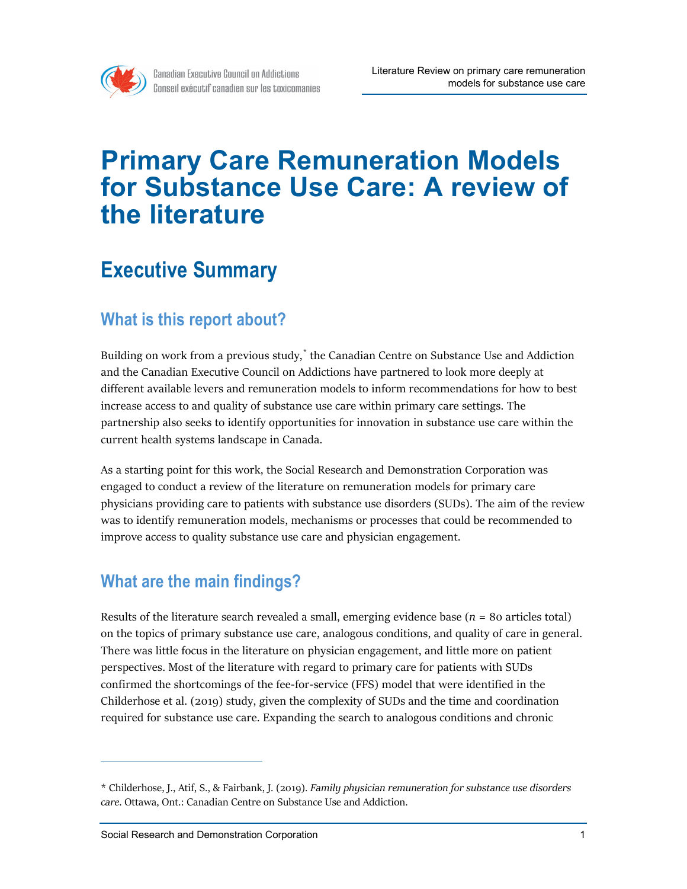

# **Primary Care Remuneration Models for Substance Use Care: A review of the literature**

## **Executive Summary**

#### **What is this report about?**

Building on work from a previous study, [\\*](#page-0-0) the Canadian Centre on Substance Use and Addiction and the Canadian Executive Council on Addictions have partnered to look more deeply at different available levers and remuneration models to inform recommendations for how to best increase access to and quality of substance use care within primary care settings. The partnership also seeks to identify opportunities for innovation in substance use care within the current health systems landscape in Canada.

As a starting point for this work, the Social Research and Demonstration Corporation was engaged to conduct a review of the literature on remuneration models for primary care physicians providing care to patients with substance use disorders (SUDs). The aim of the review was to identify remuneration models, mechanisms or processes that could be recommended to improve access to quality substance use care and physician engagement.

### **What are the main findings?**

Results of the literature search revealed a small, emerging evidence base  $(n = 80 \text{ articles total})$ on the topics of primary substance use care, analogous conditions, and quality of care in general. There was little focus in the literature on physician engagement, and little more on patient perspectives. Most of the literature with regard to primary care for patients with SUDs confirmed the shortcomings of the fee-for-service (FFS) model that were identified in the Childerhose et al. (2019) study, given the complexity of SUDs and the time and coordination required for substance use care. Expanding the search to analogous conditions and chronic

<span id="page-0-0"></span><sup>\*</sup> Childerhose, J., Atif, S., & Fairbank, J. (2019). *Family physician remuneration for substance use disorders care*. Ottawa, Ont.: Canadian Centre on Substance Use and Addiction.